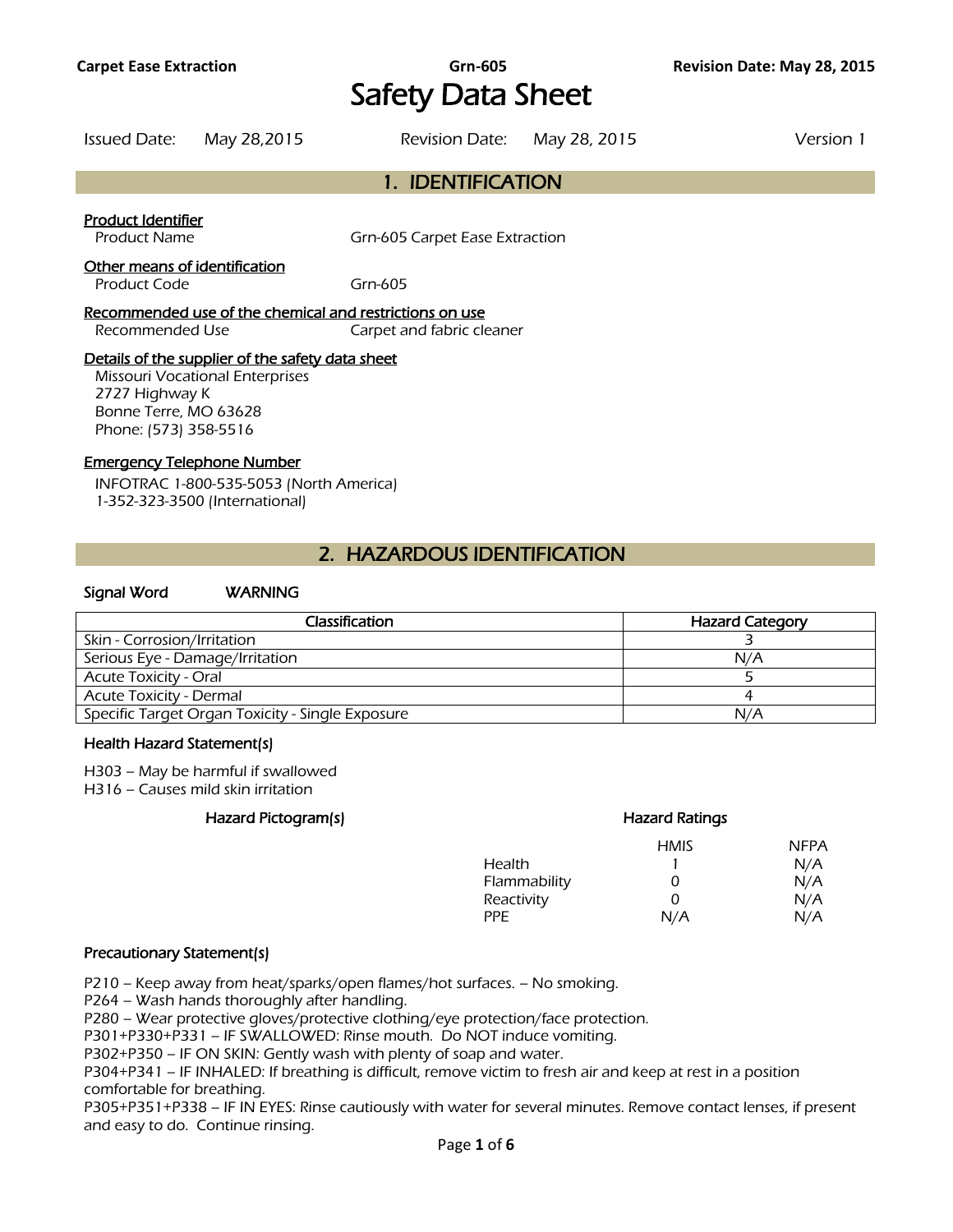**Carpet Ease Extraction Grn-605 Revision Date: May 28, 2015**  Safety Data Sheet

Issued Date: May 28,2015 Revision Date: May 28, 2015 Version 1

# 1. IDENTIFICATION

Product Identifier

Product Name Grn-605 Carpet Ease Extraction

Other means of identification

Product Code Grn-605

Recommended use of the chemical and restrictions on use

Recommended Use Carpet and fabric cleaner

#### Details of the supplier of the safety data sheet

Missouri Vocational Enterprises 2727 Highway K Bonne Terre, MO 63628 Phone: (573) 358-5516

#### Emergency Telephone Number

INFOTRAC 1-800-535-5053 (North America) 1-352-323-3500 (International)

## 2. HAZARDOUS IDENTIFICATION

#### Signal Word WARNING

| Classification                                   | <b>Hazard Category</b> |
|--------------------------------------------------|------------------------|
| Skin - Corrosion/Irritation                      |                        |
| Serious Eye - Damage/Irritation                  | N/A                    |
| <b>Acute Toxicity - Oral</b>                     |                        |
| <b>Acute Toxicity - Dermal</b>                   |                        |
| Specific Target Organ Toxicity - Single Exposure | N/A                    |
|                                                  |                        |

#### Health Hazard Statement(s)

H303 – May be harmful if swallowed H316 – Causes mild skin irritation

## Hazard Pictogram(s) example a series of the Hazard Ratings

|              | Hazaru Rauriys |             |
|--------------|----------------|-------------|
|              | <b>HMIS</b>    | <b>NFPA</b> |
| Health       |                | N/A         |
| Flammability | 0              | N/A         |
| Reactivity   | Ω              | N/A         |
| PPF.         | N/A            | N/A         |
|              |                |             |

#### Precautionary Statement(s)

P210 – Keep away from heat/sparks/open flames/hot surfaces. – No smoking.

P264 – Wash hands thoroughly after handling.

P280 – Wear protective gloves/protective clothing/eye protection/face protection.

P301+P330+P331 – IF SWALLOWED: Rinse mouth. Do NOT induce vomiting.

P302+P350 – IF ON SKIN: Gently wash with plenty of soap and water.

P304+P341 – IF INHALED: If breathing is difficult, remove victim to fresh air and keep at rest in a position comfortable for breathing.

P305+P351+P338 – IF IN EYES: Rinse cautiously with water for several minutes. Remove contact lenses, if present and easy to do. Continue rinsing.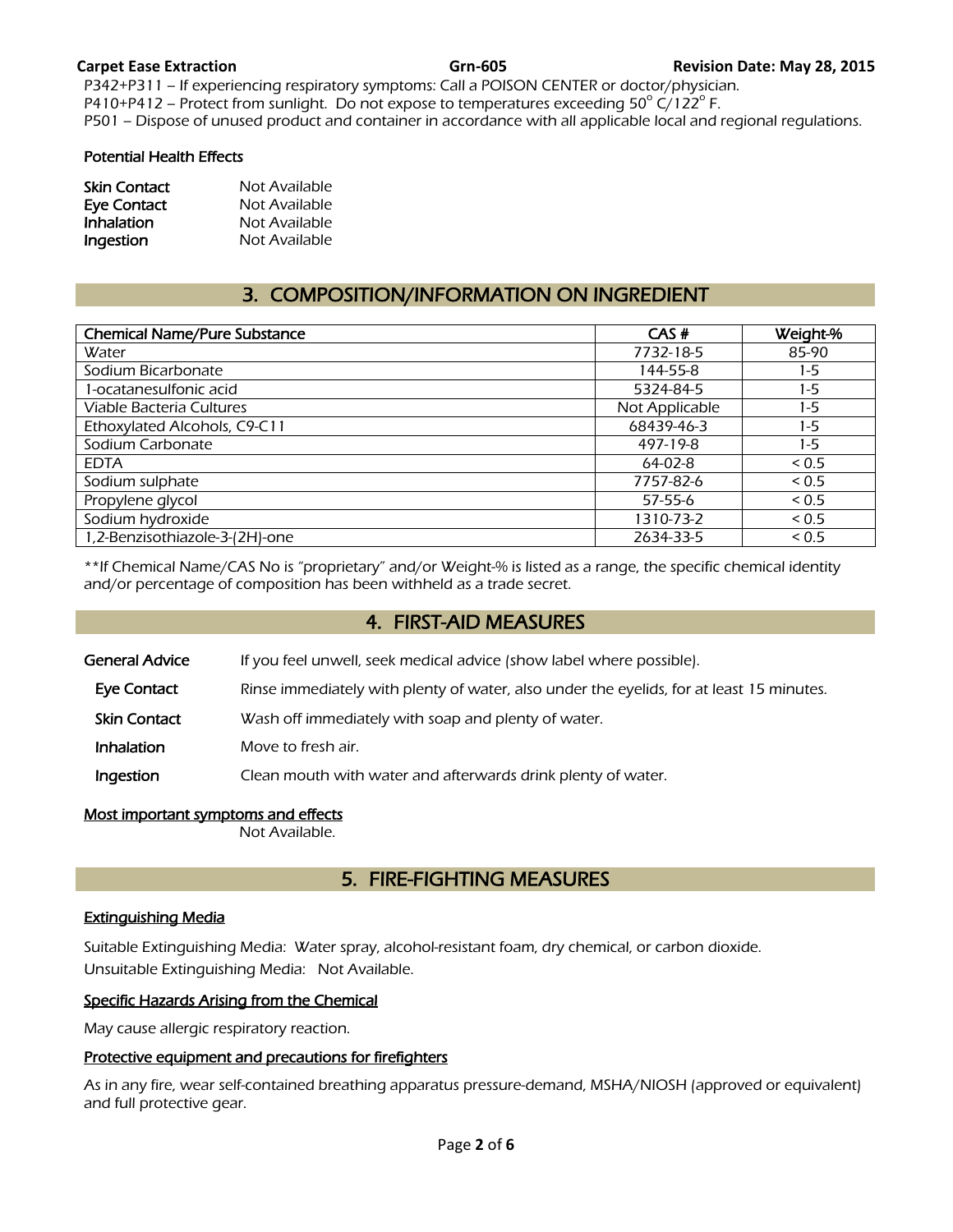P342+P311 – If experiencing respiratory symptoms: Call a POISON CENTER or doctor/physician. P410+P412 – Protect from sunlight. Do not expose to temperatures exceeding  $50^{\circ}$  C/122<sup>o</sup> F. P501 – Dispose of unused product and container in accordance with all applicable local and regional regulations.

#### Potential Health Effects

| <b>Skin Contact</b> | Not Available |
|---------------------|---------------|
| Eye Contact         | Not Available |
| Inhalation          | Not Available |
| Ingestion           | Not Available |

# 3. COMPOSITION/INFORMATION ON INGREDIENT

| 85-90<br>7732-18-5<br>144-55-8<br>1-5<br>$1-5$<br>5324-84-5<br>Not Applicable<br>$1-5$ |
|----------------------------------------------------------------------------------------|
|                                                                                        |
|                                                                                        |
|                                                                                        |
|                                                                                        |
| 68439-46-3<br>1-5                                                                      |
| $1-5$                                                                                  |
| 0.5                                                                                    |
| 7757-82-6<br>0.5                                                                       |
| ${}_{0.5}$                                                                             |
| 1310-73-2<br>${}_{0.5}$                                                                |
| 2634-33-5<br>${}_{0.5}$                                                                |
| 497-19-8                                                                               |

\*\*If Chemical Name/CAS No is "proprietary" and/or Weight-% is listed as a range, the specific chemical identity and/or percentage of composition has been withheld as a trade secret.

## 4. FIRST-AID MEASURES

General Advice If you feel unwell, seek medical advice (show label where possible).

- Eye Contact Rinse immediately with plenty of water, also under the eyelids, for at least 15 minutes.
- Skin Contact Wash off immediately with soap and plenty of water.
- **Inhalation** Move to fresh air.

Ingestion Clean mouth with water and afterwards drink plenty of water.

#### Most important symptoms and effects

Not Available.

## 5. FIRE-FIGHTING MEASURES

#### Extinguishing Media

Suitable Extinguishing Media: Water spray, alcohol-resistant foam, dry chemical, or carbon dioxide. Unsuitable Extinguishing Media: Not Available.

#### Specific Hazards Arising from the Chemical

May cause allergic respiratory reaction.

### Protective equipment and precautions for firefighters

As in any fire, wear self-contained breathing apparatus pressure-demand, MSHA/NIOSH (approved or equivalent) and full protective gear.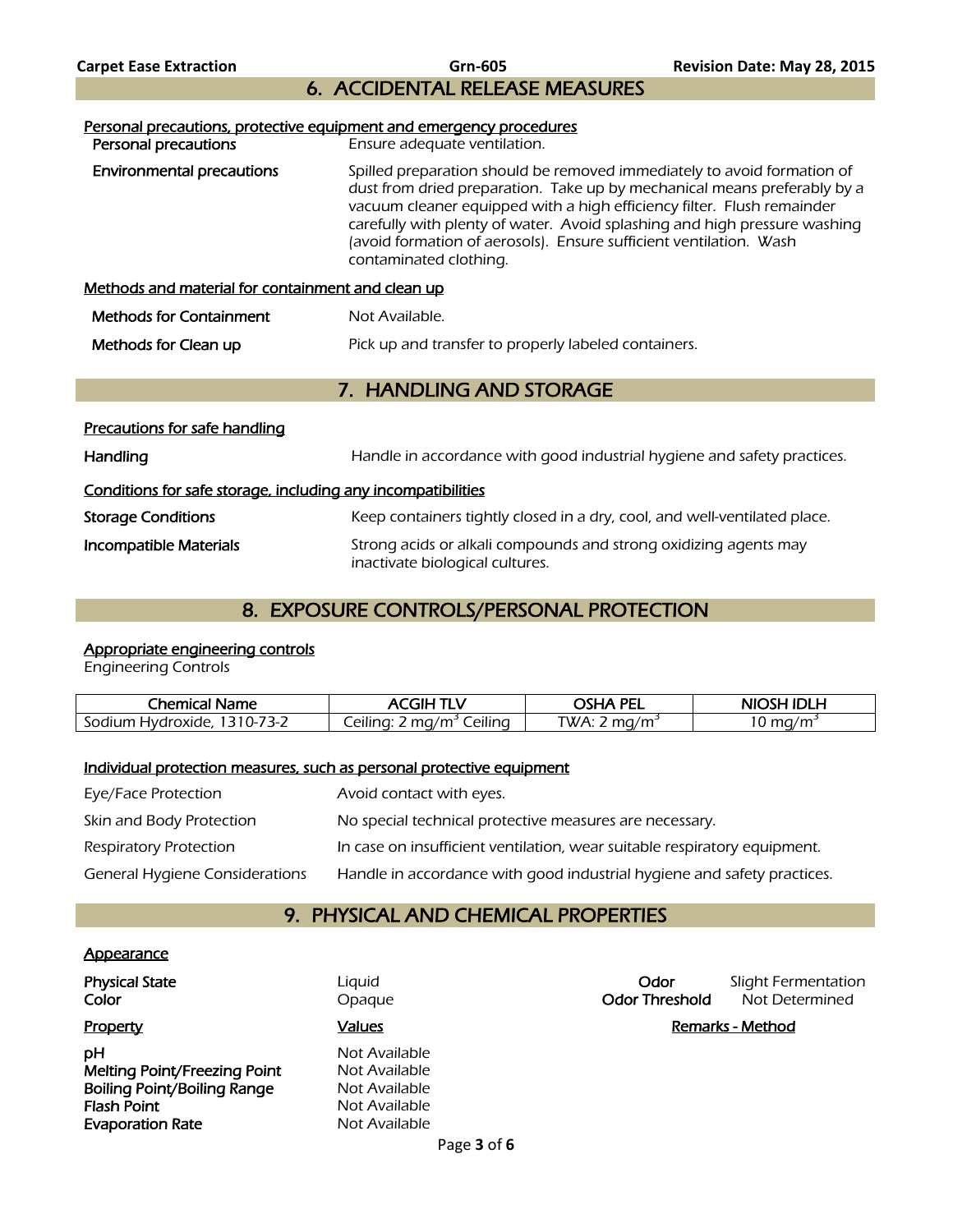Carpet Ease Extraction **Carpet Ease Extraction Business Carpet Ease Extraction Revision Date: May 28, 2015** 6. ACCIDENTAL RELEASE MEASURES

| Personal precautions, protective equipment and emergency procedures<br>Personal precautions | Ensure adequate ventilation.                                                                                                                                                                                                                                                                                                                                                                               |  |
|---------------------------------------------------------------------------------------------|------------------------------------------------------------------------------------------------------------------------------------------------------------------------------------------------------------------------------------------------------------------------------------------------------------------------------------------------------------------------------------------------------------|--|
| <b>Environmental precautions</b>                                                            | Spilled preparation should be removed immediately to avoid formation of<br>dust from dried preparation. Take up by mechanical means preferably by a<br>vacuum cleaner equipped with a high efficiency filter. Flush remainder<br>carefully with plenty of water. Avoid splashing and high pressure washing<br>(avoid formation of aerosols). Ensure sufficient ventilation. Wash<br>contaminated clothing. |  |
| Methods and material for containment and clean up                                           |                                                                                                                                                                                                                                                                                                                                                                                                            |  |
| <b>Methods for Containment</b>                                                              | Not Available.                                                                                                                                                                                                                                                                                                                                                                                             |  |
| Methods for Clean up                                                                        | Pick up and transfer to properly labeled containers.                                                                                                                                                                                                                                                                                                                                                       |  |

## 7. HANDLING AND STORAGE

| Precautions for safe handling                                |                                                                                                     |  |
|--------------------------------------------------------------|-----------------------------------------------------------------------------------------------------|--|
| Handling                                                     | Handle in accordance with good industrial hygiene and safety practices.                             |  |
| Conditions for safe storage, including any incompatibilities |                                                                                                     |  |
| <b>Storage Conditions</b>                                    | Keep containers tightly closed in a dry, cool, and well-ventilated place.                           |  |
| Incompatible Materials                                       | Strong acids or alkali compounds and strong oxidizing agents may<br>inactivate biological cultures. |  |

# 8. EXPOSURE CONTROLS/PERSONAL PROTECTION

# Appropriate engineering controls

Engineering Controls

| Chemical<br><b>Name</b>          | 7H F                                                        | . PF'<br>. УГ<br>--         | ם וחו ג<br><b>NIC</b><br>$\sqrt{2}$ |
|----------------------------------|-------------------------------------------------------------|-----------------------------|-------------------------------------|
| Sodium<br>Hvdroxide<br>╮–<br>. . | .<br>$\cdots$<br>/m<br>eilina<br>ma<br>_eilina <sup>.</sup> | TWA:<br>$\sim$<br>mп<br>,,, | ma<br>$\overline{ }$<br>ึ∪          |

### Individual protection measures, such as personal protective equipment

| Eye/Face Protection            | Avoid contact with eyes.                                                  |
|--------------------------------|---------------------------------------------------------------------------|
| Skin and Body Protection       | No special technical protective measures are necessary.                   |
| <b>Respiratory Protection</b>  | In case on insufficient ventilation, wear suitable respiratory equipment. |
| General Hygiene Considerations | Handle in accordance with good industrial hygiene and safety practices.   |

# 9. PHYSICAL AND CHEMICAL PROPERTIES

### **Appearance**

| Physical State<br>Color             | Liquid<br>Opague | Odor<br><b>Odor Threshold</b> | Slight Fermentatio<br>Not Determined |
|-------------------------------------|------------------|-------------------------------|--------------------------------------|
| Property                            | <b>Values</b>    |                               | Remarks - Method                     |
| pН                                  | Not Available    |                               |                                      |
| <b>Melting Point/Freezing Point</b> | Not Available    |                               |                                      |
| <b>Boiling Point/Boiling Range</b>  | Not Available    |                               |                                      |
| Flash Point                         | Not Available    |                               |                                      |
| <b>Evaporation Rate</b>             | Not Available    |                               |                                      |

**Odor** Slight Fermentation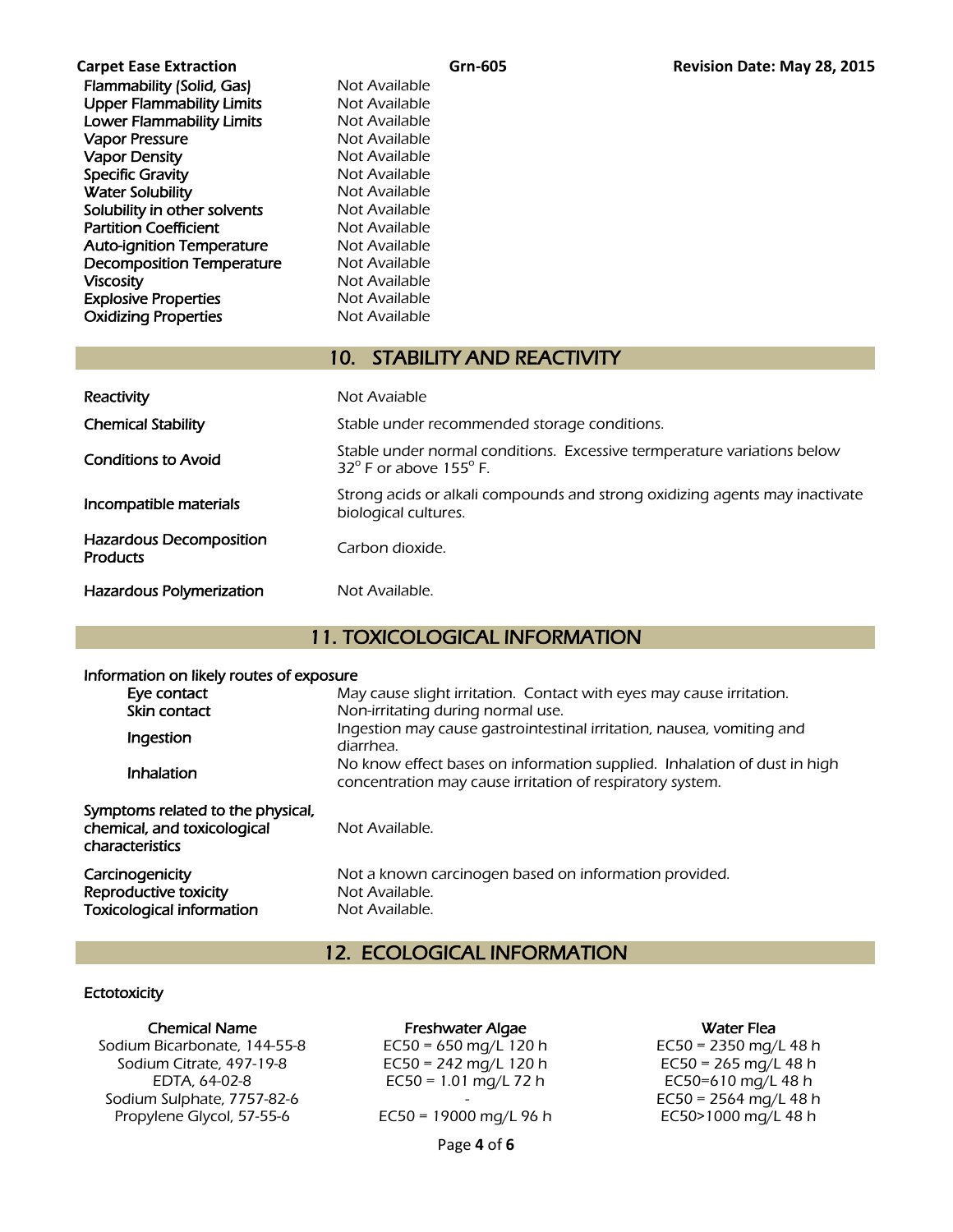| Cai pet case cxtiaction          |
|----------------------------------|
| Flammability (Solid, Gas)        |
| <b>Upper Flammability Limits</b> |
| <b>Lower Flammability Limits</b> |
| <b>Vapor Pressure</b>            |
| <b>Vapor Density</b>             |
| <b>Specific Gravity</b>          |
| <b>Water Solubility</b>          |
| Solubility in other solvents     |
| <b>Partition Coefficient</b>     |
| <b>Auto-ignition Temperature</b> |
| <b>Decomposition Temperature</b> |
| <b>Viscosity</b>                 |
| <b>Explosive Properties</b>      |
| <b>Oxidizing Properties</b>      |

**Not Available Not Available** Not Available Not Available Not Available Not Available Not Available Not Available **Not Available Not Available** Not Available Not Available Not Available

Not Available

## 10. STABILITY AND REACTIVITY

| Reactivity                                        | Not Avaiable                                                                                                         |
|---------------------------------------------------|----------------------------------------------------------------------------------------------------------------------|
| <b>Chemical Stability</b>                         | Stable under recommended storage conditions.                                                                         |
| <b>Conditions to Avoid</b>                        | Stable under normal conditions. Excessive termperature variations below<br>$32^{\circ}$ F or above 155 $^{\circ}$ F. |
| Incompatible materials                            | Strong acids or alkali compounds and strong oxidizing agents may inactivate<br>biological cultures.                  |
| <b>Hazardous Decomposition</b><br><b>Products</b> | Carbon dioxide.                                                                                                      |
| <b>Hazardous Polymerization</b>                   | Not Available.                                                                                                       |

# 11. TOXICOLOGICAL INFORMATION

## Information on likely routes of exposure

| Eye contact<br>Skin contact                                                         | May cause slight irritation. Contact with eyes may cause irritation.<br>Non-irritating during normal use.                             |
|-------------------------------------------------------------------------------------|---------------------------------------------------------------------------------------------------------------------------------------|
| Ingestion                                                                           | Ingestion may cause gastrointestinal irritation, nausea, vomiting and<br>diarrhea.                                                    |
| Inhalation                                                                          | No know effect bases on information supplied. Inhalation of dust in high<br>concentration may cause irritation of respiratory system. |
| Symptoms related to the physical,<br>chemical, and toxicological<br>characteristics | Not Available.                                                                                                                        |
| Carcinogenicity<br>Reproductive toxicity<br><b>Toxicological information</b>        | Not a known carcinogen based on information provided.<br>Not Available.<br>Not Available.                                             |

# 12. ECOLOGICAL INFORMATION

### **Ectotoxicity**

Sodium Bicarbonate, 144-55-8  $E$ C50 = 650 mg/L 120 h  $E$ C50 = 2350 mg/L 48 h Sodium Citrate, 497-19-8 **EC50** = 242 mg/L 120 h  $EC50 = 265$  mg/L 48 h Sodium Sulphate, 7757-82-6 Propylene Glycol, 57-55-6 EC50 = 19000 mg/L 96 h EC50>1000 mg/L 48 h

### Chemical Name **Freshwater Algae Chemical Name** Water Flea

Page **4** of **6**

EDTA, 64-02-8 EC50 = 1.01 mg/L 72 h EC50=610 mg/L 48 h<br>n Sulphate, 7757-82-6 - 1.01 mg/L 72 h EC50 = 2564 mg/L 48 h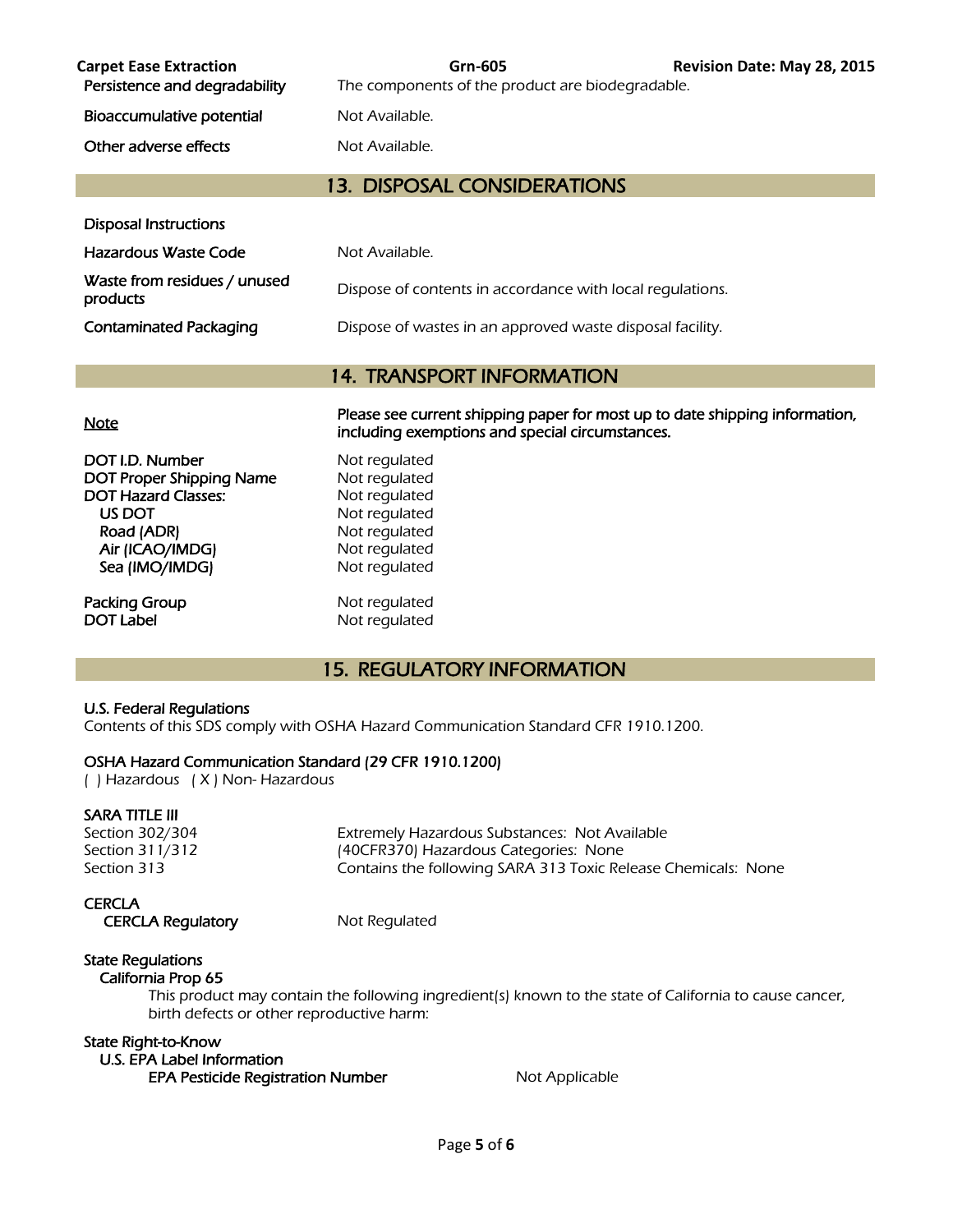| <b>Carpet Ease Extraction</b><br>Persistence and degradability | Grn-605<br>The components of the product are biodegradable. | Revision Date: May 28, 2015 |
|----------------------------------------------------------------|-------------------------------------------------------------|-----------------------------|
| Bioaccumulative potential                                      | Not Available.                                              |                             |
| Other adverse effects                                          | Not Available.                                              |                             |
|                                                                | 13. DISPOSAL CONSIDERATIONS                                 |                             |

| Hazardous Waste Code                     | Not Available.                                            |
|------------------------------------------|-----------------------------------------------------------|
| Waste from residues / unused<br>products | Dispose of contents in accordance with local regulations. |
| Contaminated Packaging                   | Dispose of wastes in an approved waste disposal facility. |

## 14. TRANSPORT INFORMATION

| <b>Note</b>                     | Please see current shipping paper for most up to date shipping information,<br>including exemptions and special circumstances. |
|---------------------------------|--------------------------------------------------------------------------------------------------------------------------------|
| DOT I.D. Number                 | Not regulated                                                                                                                  |
| <b>DOT Proper Shipping Name</b> | Not regulated                                                                                                                  |
| <b>DOT Hazard Classes:</b>      | Not regulated                                                                                                                  |
| US DOT                          | Not regulated                                                                                                                  |
| Road (ADR)                      | Not regulated                                                                                                                  |
| Air (ICAO/IMDG)                 | Not regulated                                                                                                                  |
| Sea (IMO/IMDG)                  | Not regulated                                                                                                                  |
| Packing Group                   | Not regulated                                                                                                                  |
| <b>DOT Label</b>                | Not regulated                                                                                                                  |

# 15. REGULATORY INFORMATION

#### U.S. Federal Regulations

Disposal Instructions

Contents of this SDS comply with OSHA Hazard Communication Standard CFR 1910.1200.

### OSHA Hazard Communication Standard (29 CFR 1910.1200)

( ) Hazardous ( X ) Non- Hazardous

#### SARA TITLE III

Section 302/304 Extremely Hazardous Substances: Not Available Section 311/312 (40CFR370) Hazardous Categories: None<br>Section 313 (Section 313 Toxic Re Contains the following SARA 313 Toxic Release Chemicals: None

#### **CERCLA**

CERCLA Regulatory Mot Regulated

# State Regulations

## California Prop 65

 This product may contain the following ingredient(s) known to the state of California to cause cancer, birth defects or other reproductive harm:

#### State Right-to-Know

 U.S. EPA Label Information EPA Pesticide Registration Number Not Applicable